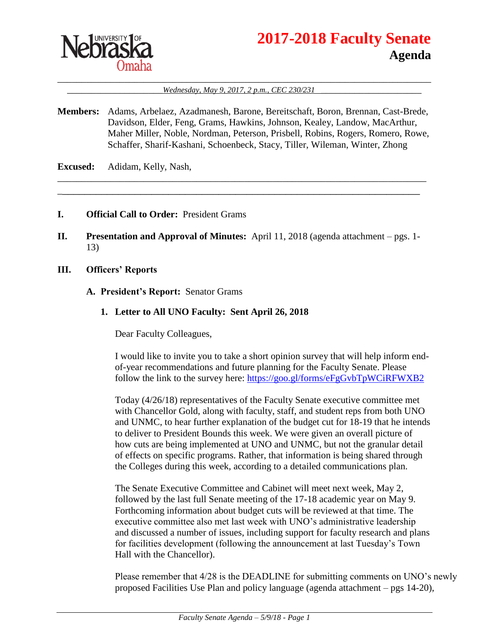

# **2017-2018 Faculty Senate Agenda**

#### \_\_\_\_\_\_\_\_\_\_\_\_\_\_\_\_\_\_\_\_\_\_\_\_\_\_\_\_\_\_\_\_\_\_\_\_\_\_\_\_\_\_\_\_\_\_\_\_\_\_\_\_\_\_\_\_\_\_\_\_\_\_\_\_\_\_\_\_\_\_\_\_\_\_\_\_\_\_ \_\_\_\_\_\_\_\_\_\_\_\_\_\_\_\_\_\_\_\_*Wednesday, May 9, 2017, 2 p.m., CEC 230/231* \_\_\_\_\_\_\_\_\_\_\_\_\_\_\_\_\_\_\_\_\_

**Members:** Adams, Arbelaez, Azadmanesh, Barone, Bereitschaft, Boron, Brennan, Cast-Brede, Davidson, Elder, Feng, Grams, Hawkins, Johnson, Kealey, Landow, MacArthur, Maher Miller, Noble, Nordman, Peterson, Prisbell, Robins, Rogers, Romero, Rowe, Schaffer, Sharif-Kashani, Schoenbeck, Stacy, Tiller, Wileman, Winter, Zhong

\_\_\_\_\_\_\_\_\_\_\_\_\_\_\_\_\_\_\_\_\_\_\_\_\_\_\_\_\_\_\_\_\_\_\_\_\_\_\_\_\_\_\_\_\_\_\_\_\_\_\_\_\_\_\_\_\_\_\_\_\_\_\_\_\_\_\_\_\_\_\_\_\_\_\_\_\_ \_\_\_\_\_\_\_\_\_\_\_\_\_\_\_\_\_\_\_\_\_\_\_\_\_\_\_\_\_\_\_\_\_\_\_\_\_\_\_\_\_\_\_\_\_\_\_\_\_\_\_\_\_\_\_\_\_\_\_\_\_\_\_\_\_

**Excused:** Adidam, Kelly, Nash,

- **I. Official Call to Order:** President Grams
- **II. Presentation and Approval of Minutes:** April 11, 2018 (agenda attachment pgs. 1- 13)
- **III. Officers' Reports**
	- **A. President's Report:** Senator Grams
		- **1. Letter to All UNO Faculty: Sent April 26, 2018**

Dear Faculty Colleagues,

I would like to invite you to take a short opinion survey that will help inform endof-year recommendations and future planning for the Faculty Senate. Please follow the link to the survey here:<https://goo.gl/forms/eFgGvbTpWCiRFWXB2>

Today (4/26/18) representatives of the Faculty Senate executive committee met with Chancellor Gold, along with faculty, staff, and student reps from both UNO and UNMC, to hear further explanation of the budget cut for 18-19 that he intends to deliver to President Bounds this week. We were given an overall picture of how cuts are being implemented at UNO and UNMC, but not the granular detail of effects on specific programs. Rather, that information is being shared through the Colleges during this week, according to a detailed communications plan.

The Senate Executive Committee and Cabinet will meet next week, May 2, followed by the last full Senate meeting of the 17-18 academic year on May 9. Forthcoming information about budget cuts will be reviewed at that time. The executive committee also met last week with UNO's administrative leadership and discussed a number of issues, including support for faculty research and plans for facilities development (following the announcement at last Tuesday's Town Hall with the Chancellor).

Please remember that 4/28 is the DEADLINE for submitting comments on UNO's newly proposed Facilities Use Plan and policy language (agenda attachment – pgs 14-20),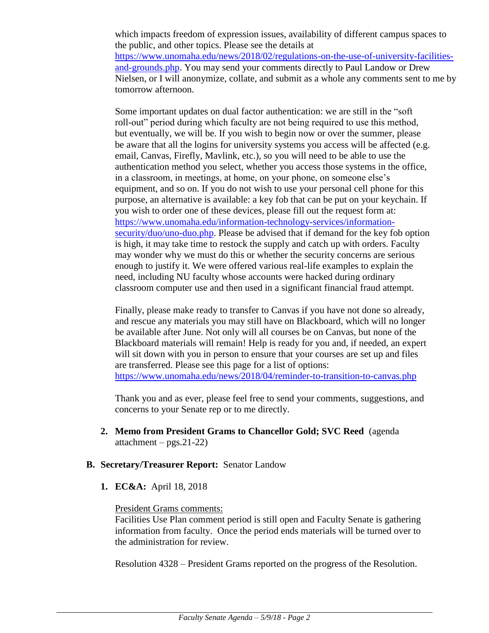which impacts freedom of expression issues, availability of different campus spaces to the public, and other topics. Please see the details at [https://www.unomaha.edu/news/2018/02/regulations-on-the-use-of-university-facilities](https://www.unomaha.edu/news/2018/02/regulations-on-the-use-of-university-facilities-and-grounds.php)[and-grounds.php.](https://www.unomaha.edu/news/2018/02/regulations-on-the-use-of-university-facilities-and-grounds.php) You may send your comments directly to Paul Landow or Drew Nielsen, or I will anonymize, collate, and submit as a whole any comments sent to me by tomorrow afternoon.

Some important updates on dual factor authentication: we are still in the "soft roll-out" period during which faculty are not being required to use this method, but eventually, we will be. If you wish to begin now or over the summer, please be aware that all the logins for university systems you access will be affected (e.g. email, Canvas, Firefly, Mavlink, etc.), so you will need to be able to use the authentication method you select, whether you access those systems in the office, in a classroom, in meetings, at home, on your phone, on someone else's equipment, and so on. If you do not wish to use your personal cell phone for this purpose, an alternative is available: a key fob that can be put on your keychain. If you wish to order one of these devices, please fill out the request form at: [https://www.unomaha.edu/information-technology-services/information](https://www.unomaha.edu/information-technology-services/information-security/duo/uno-duo.php)[security/duo/uno-duo.php.](https://www.unomaha.edu/information-technology-services/information-security/duo/uno-duo.php) Please be advised that if demand for the key fob option is high, it may take time to restock the supply and catch up with orders. Faculty may wonder why we must do this or whether the security concerns are serious enough to justify it. We were offered various real-life examples to explain the need, including NU faculty whose accounts were hacked during ordinary classroom computer use and then used in a significant financial fraud attempt.

Finally, please make ready to transfer to Canvas if you have not done so already, and rescue any materials you may still have on Blackboard, which will no longer be available after June. Not only will all courses be on Canvas, but none of the Blackboard materials will remain! Help is ready for you and, if needed, an expert will sit down with you in person to ensure that your courses are set up and files are transferred. Please see this page for a list of options: <https://www.unomaha.edu/news/2018/04/reminder-to-transition-to-canvas.php>

Thank you and as ever, please feel free to send your comments, suggestions, and concerns to your Senate rep or to me directly.

**2. Memo from President Grams to Chancellor Gold; SVC Reed** (agenda  $attachment - pgs.21-22)$ 

# **B. Secretary/Treasurer Report:** Senator Landow

**1. EC&A:** April 18, 2018

## President Grams comments:

Facilities Use Plan comment period is still open and Faculty Senate is gathering information from faculty. Once the period ends materials will be turned over to the administration for review.

Resolution 4328 – President Grams reported on the progress of the Resolution.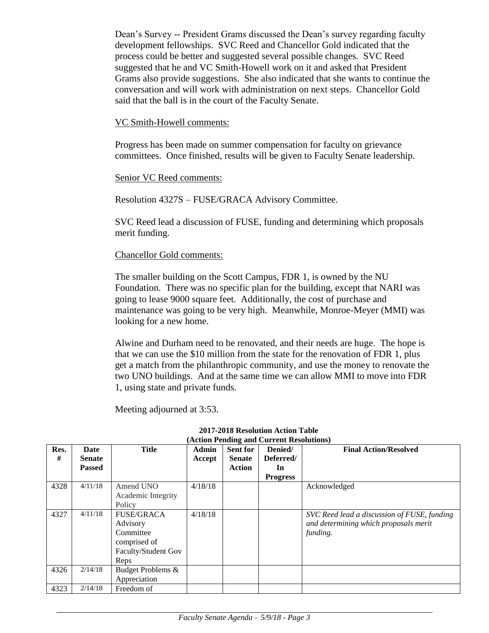Dean's Survey -- President Grams discussed the Dean's survey regarding faculty development fellowships. SVC Reed and Chancellor Gold indicated that the process could be better and suggested several possible changes. SVC Reed suggested that he and VC Smith-Howell work on it and asked that President Grams also provide suggestions. She also indicated that she wants to continue the conversation and will work with administration on next steps. Chancellor Gold said that the ball is in the court of the Faculty Senate.

VC Smith-Howell comments:

Progress has been made on summer compensation for faculty on grievance committees. Once finished, results will be given to Faculty Senate leadership.

Senior VC Reed comments:

Resolution 4327S – FUSE/GRACA Advisory Committee.

SVC Reed lead a discussion of FUSE, funding and determining which proposals merit funding.

#### Chancellor Gold comments:

The smaller building on the Scott Campus, FDR 1, is owned by the NU Foundation. There was no specific plan for the building, except that NARI was going to lease 9000 square feet. Additionally, the cost of purchase and maintenance was going to be very high. Meanwhile, Monroe-Meyer (MMI) was looking for a new home.

Alwine and Durham need to be renovated, and their needs are huge. The hope is that we can use the \$10 million from the state for the renovation of FDR 1, plus get a match from the philanthropic community, and use the money to renovate the two UNO buildings. And at the same time we can allow MMI to move into FDR 1, using state and private funds.

Meeting adjourned at 3:53.

| Res.<br># | Date<br><b>Senate</b><br><b>Passed</b> | <b>Title</b>                                                                              | <b>Admin</b><br>Accept | <b>Sent for</b><br><b>Senate</b><br>Action | $(1.00111)$ chung and Carrent Resolutions<br>Denied/<br>Deferred/<br>In | <b>Final Action/Resolved</b>                                                                     |
|-----------|----------------------------------------|-------------------------------------------------------------------------------------------|------------------------|--------------------------------------------|-------------------------------------------------------------------------|--------------------------------------------------------------------------------------------------|
|           |                                        |                                                                                           |                        |                                            | <b>Progress</b>                                                         |                                                                                                  |
| 4328      | 4/11/18                                | Amend UNO<br>Academic Integrity<br>Policy                                                 | 4/18/18                |                                            |                                                                         | Acknowledged                                                                                     |
| 4327      | 4/11/18                                | <b>FUSE/GRACA</b><br>Advisory<br>Committee<br>comprised of<br>Faculty/Student Gov<br>Reps | 4/18/18                |                                            |                                                                         | SVC Reed lead a discussion of FUSE, funding<br>and determining which proposals merit<br>funding. |
| 4326      | 2/14/18                                | Budget Problems &<br>Appreciation                                                         |                        |                                            |                                                                         |                                                                                                  |
| 4323      | 2/14/18                                | Freedom of                                                                                |                        |                                            |                                                                         |                                                                                                  |

**2017-2018 Resolution Action Table (Action Pending and Current Resolutions)**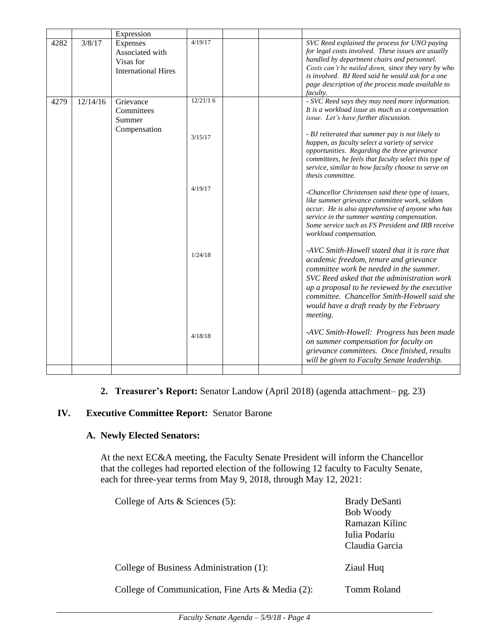|      |          | Expression                                                             |          |  |                                                                                                                                                                                                                                                                                                                                           |
|------|----------|------------------------------------------------------------------------|----------|--|-------------------------------------------------------------------------------------------------------------------------------------------------------------------------------------------------------------------------------------------------------------------------------------------------------------------------------------------|
| 4282 | 3/8/17   | Expenses<br>Associated with<br>Visas for<br><b>International Hires</b> | 4/19/17  |  | SVC Reed explained the process for UNO paying<br>for legal costs involved. These issues are usually<br>handled by department chairs and personnel.<br>Costs can't be nailed down, since they vary by who<br>is involved. BJ Reed said he would ask for a one<br>page description of the process made available to<br><i>faculty.</i>      |
| 4279 | 12/14/16 | Grievance<br>Committees<br>Summer                                      | 12/21/16 |  | - SVC Reed says they may need more information.<br>It is a workload issue as much as a compensation<br>issue. Let's have further discussion.                                                                                                                                                                                              |
|      |          | Compensation                                                           | 3/15/17  |  | - BJ reiterated that summer pay is not likely to<br>happen, as faculty select a variety of service<br>opportunities. Regarding the three grievance<br>committees, he feels that faculty select this type of<br>service, similar to how faculty choose to serve on<br>thesis committee.                                                    |
|      |          |                                                                        | 4/19/17  |  | -Chancellor Christensen said these type of issues,<br>like summer grievance committee work, seldom<br>occur. He is also apprehensive of anyone who has<br>service in the summer wanting compensation.<br>Some service such as FS President and IRB receive<br>workload compensation.                                                      |
|      |          |                                                                        | 1/24/18  |  | -AVC Smith-Howell stated that it is rare that<br>academic freedom, tenure and grievance<br>committee work be needed in the summer.<br>SVC Reed asked that the administration work<br>up a proposal to be reviewed by the executive<br>committee. Chancellor Smith-Howell said she<br>would have a draft ready by the February<br>meeting. |
|      |          |                                                                        | 4/18/18  |  | -AVC Smith-Howell: Progress has been made<br>on summer compensation for faculty on<br>grievance committees. Once finished, results<br>will be given to Faculty Senate leadership.                                                                                                                                                         |
|      |          |                                                                        |          |  |                                                                                                                                                                                                                                                                                                                                           |

# **2. Treasurer's Report:** Senator Landow (April 2018) (agenda attachment– pg. 23)

# **IV. Executive Committee Report:** Senator Barone

## **A. Newly Elected Senators:**

At the next EC&A meeting, the Faculty Senate President will inform the Chancellor that the colleges had reported election of the following 12 faculty to Faculty Senate, each for three-year terms from May 9, 2018, through May 12, 2021:

| College of Arts $\&$ Sciences (5):               | <b>Brady DeSanti</b><br><b>Bob Woody</b><br>Ramazan Kilinc<br>Iulia Podariu<br>Claudia Garcia |
|--------------------------------------------------|-----------------------------------------------------------------------------------------------|
| College of Business Administration (1):          | Ziaul Huq                                                                                     |
| College of Communication, Fine Arts & Media (2): | Tomm Roland                                                                                   |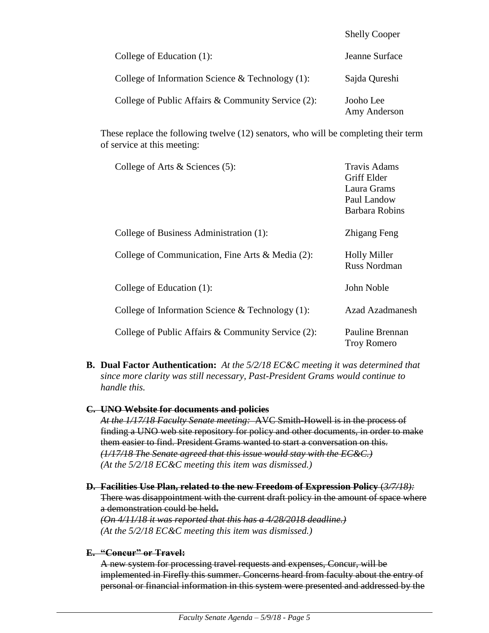|                                                     | SHEITY COOPER             |
|-----------------------------------------------------|---------------------------|
| College of Education (1):                           | Jeanne Surface            |
| College of Information Science $\&$ Technology (1): | Sajda Qureshi             |
| College of Public Affairs & Community Service (2):  | Jooho Lee<br>Amy Anderson |

 $S<sub>1</sub>$   $S<sub>2</sub>$   $S<sub>2</sub>$   $S<sub>3</sub>$ 

These replace the following twelve (12) senators, who will be completing their term of service at this meeting:

| College of Arts $&$ Sciences (5):                   | Travis Adams<br>Griff Elder<br>Laura Grams<br>Paul Landow<br>Barbara Robins |
|-----------------------------------------------------|-----------------------------------------------------------------------------|
| College of Business Administration (1):             | Zhigang Feng                                                                |
| College of Communication, Fine Arts & Media (2):    | <b>Holly Miller</b><br><b>Russ Nordman</b>                                  |
| College of Education (1):                           | John Noble                                                                  |
| College of Information Science & Technology $(1)$ : | Azad Azadmanesh                                                             |
| College of Public Affairs & Community Service (2):  | Pauline Brennan<br><b>Troy Romero</b>                                       |

**B. Dual Factor Authentication:** *At the 5/2/18 EC&C meeting it was determined that since more clarity was still necessary, Past-President Grams would continue to handle this.*

#### **C. UNO Website for documents and policies**

*At the 1/17/18 Faculty Senate meeting:* AVC Smith-Howell is in the process of finding a UNO web site repository for policy and other documents, in order to make them easier to find. President Grams wanted to start a conversation on this. *(1/17/18 The Senate agreed that this issue would stay with the EC&C.) (At the 5/2/18 EC&C meeting this item was dismissed.)*

**D. Facilities Use Plan, related to the new Freedom of Expression Policy** (*3/7/18):* There was disappointment with the current draft policy in the amount of space where a demonstration could be held**.**  *(On 4/11/18 it was reported that this has a 4/28/2018 deadline.)*

*(At the 5/2/18 EC&C meeting this item was dismissed.)*

## **E. "Concur" or Travel:**

A new system for processing travel requests and expenses, Concur, will be implemented in Firefly this summer. Concerns heard from faculty about the entry of personal or financial information in this system were presented and addressed by the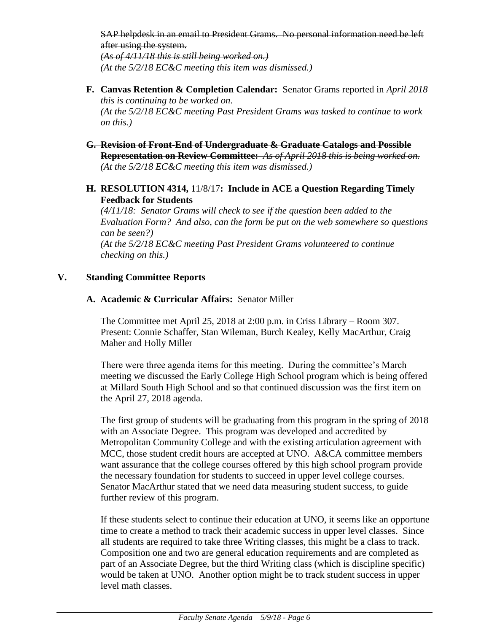SAP helpdesk in an email to President Grams. No personal information need be left after using the system. *(As of 4/11/18 this is still being worked on.) (At the 5/2/18 EC&C meeting this item was dismissed.)*

- **F. Canvas Retention & Completion Calendar:** Senator Grams reported in *April 2018 this is continuing to be worked on*. *(At the 5/2/18 EC&C meeting Past President Grams was tasked to continue to work on this.)*
- **G. Revision of Front-End of Undergraduate & Graduate Catalogs and Possible Representation on Review Committee:** *As of April 2018 this is being worked on.* *(At the 5/2/18 EC&C meeting this item was dismissed.)*
- **H. RESOLUTION 4314,** 11/8/17**: Include in ACE a Question Regarding Timely Feedback for Students**

*(4/11/18: Senator Grams will check to see if the question been added to the Evaluation Form? And also, can the form be put on the web somewhere so questions can be seen?) (At the 5/2/18 EC&C meeting Past President Grams volunteered to continue checking on this.)*

## **V. Standing Committee Reports**

## **A. Academic & Curricular Affairs:** Senator Miller

The Committee met April 25, 2018 at 2:00 p.m. in Criss Library – Room 307. Present: Connie Schaffer, Stan Wileman, Burch Kealey, Kelly MacArthur, Craig Maher and Holly Miller

There were three agenda items for this meeting. During the committee's March meeting we discussed the Early College High School program which is being offered at Millard South High School and so that continued discussion was the first item on the April 27, 2018 agenda.

The first group of students will be graduating from this program in the spring of 2018 with an Associate Degree. This program was developed and accredited by Metropolitan Community College and with the existing articulation agreement with MCC, those student credit hours are accepted at UNO. A&CA committee members want assurance that the college courses offered by this high school program provide the necessary foundation for students to succeed in upper level college courses. Senator MacArthur stated that we need data measuring student success, to guide further review of this program.

If these students select to continue their education at UNO, it seems like an opportune time to create a method to track their academic success in upper level classes. Since all students are required to take three Writing classes, this might be a class to track. Composition one and two are general education requirements and are completed as part of an Associate Degree, but the third Writing class (which is discipline specific) would be taken at UNO. Another option might be to track student success in upper level math classes.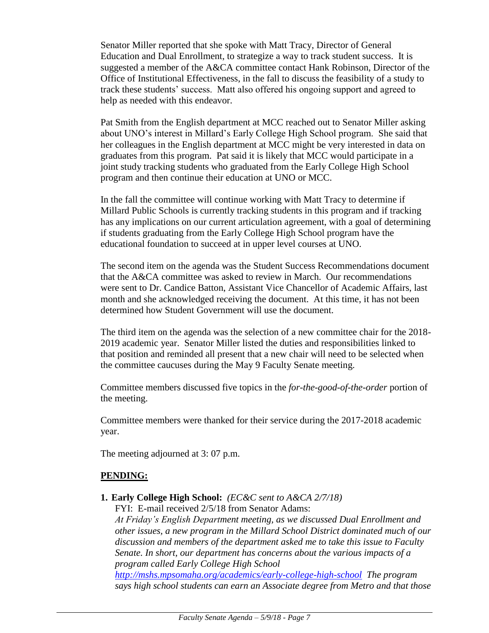Senator Miller reported that she spoke with Matt Tracy, Director of General Education and Dual Enrollment, to strategize a way to track student success. It is suggested a member of the A&CA committee contact Hank Robinson, Director of the Office of Institutional Effectiveness, in the fall to discuss the feasibility of a study to track these students' success. Matt also offered his ongoing support and agreed to help as needed with this endeavor.

Pat Smith from the English department at MCC reached out to Senator Miller asking about UNO's interest in Millard's Early College High School program. She said that her colleagues in the English department at MCC might be very interested in data on graduates from this program. Pat said it is likely that MCC would participate in a joint study tracking students who graduated from the Early College High School program and then continue their education at UNO or MCC.

In the fall the committee will continue working with Matt Tracy to determine if Millard Public Schools is currently tracking students in this program and if tracking has any implications on our current articulation agreement, with a goal of determining if students graduating from the Early College High School program have the educational foundation to succeed at in upper level courses at UNO.

The second item on the agenda was the Student Success Recommendations document that the A&CA committee was asked to review in March. Our recommendations were sent to Dr. Candice Batton, Assistant Vice Chancellor of Academic Affairs, last month and she acknowledged receiving the document. At this time, it has not been determined how Student Government will use the document.

The third item on the agenda was the selection of a new committee chair for the 2018- 2019 academic year. Senator Miller listed the duties and responsibilities linked to that position and reminded all present that a new chair will need to be selected when the committee caucuses during the May 9 Faculty Senate meeting.

Committee members discussed five topics in the *for-the-good-of-the-order* portion of the meeting.

Committee members were thanked for their service during the 2017-2018 academic year.

The meeting adjourned at 3: 07 p.m.

# **PENDING:**

**1. Early College High School:** *(EC&C sent to A&CA 2/7/18)*

FYI: E-mail received 2/5/18 from Senator Adams:

*At Friday's English Department meeting, as we discussed Dual Enrollment and other issues, a new program in the Millard School District dominated much of our discussion and members of the department asked me to take this issue to Faculty Senate. In short, our department has concerns about the various impacts of a program called Early College High School* 

*<http://mshs.mpsomaha.org/academics/early-college-high-school> The program says high school students can earn an Associate degree from Metro and that those*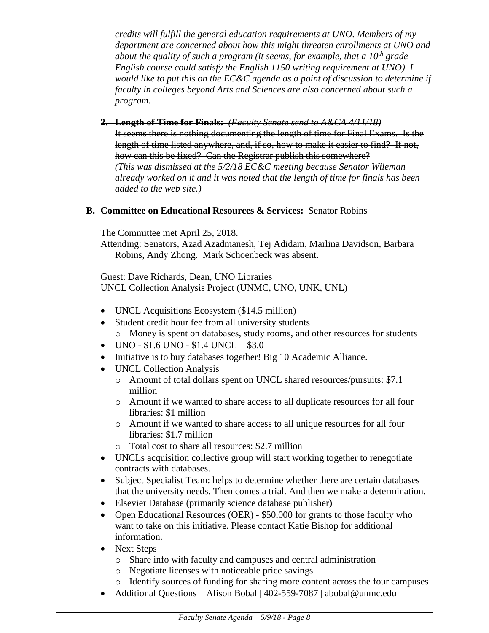*credits will fulfill the general education requirements at UNO. Members of my department are concerned about how this might threaten enrollments at UNO and about the quality of such a program (it seems, for example, that a 10th grade English course could satisfy the English 1150 writing requirement at UNO). I would like to put this on the EC&C agenda as a point of discussion to determine if faculty in colleges beyond Arts and Sciences are also concerned about such a program.*

**2. Length of Time for Finals:** *(Faculty Senate send to A&CA 4/11/18)* It seems there is nothing documenting the length of time for Final Exams. Is the length of time listed anywhere, and, if so, how to make it easier to find? If not, how can this be fixed? Can the Registrar publish this somewhere? *(This was dismissed at the 5/2/18 EC&C meeting because Senator Wileman already worked on it and it was noted that the length of time for finals has been added to the web site.)*

## **B. Committee on Educational Resources & Services:** Senator Robins

The Committee met April 25, 2018.

Attending: Senators, Azad Azadmanesh, Tej Adidam, Marlina Davidson, Barbara Robins, Andy Zhong. Mark Schoenbeck was absent.

Guest: Dave Richards, Dean, UNO Libraries UNCL Collection Analysis Project (UNMC, UNO, UNK, UNL)

- UNCL Acquisitions Ecosystem (\$14.5 million)
- Student credit hour fee from all university students o Money is spent on databases, study rooms, and other resources for students
- $\bullet$  UNO \$1.6 UNO \$1.4 UNCL = \$3.0
- Initiative is to buy databases together! Big 10 Academic Alliance.
- UNCL Collection Analysis
	- o Amount of total dollars spent on UNCL shared resources/pursuits: \$7.1 million
	- o Amount if we wanted to share access to all duplicate resources for all four libraries: \$1 million
	- o Amount if we wanted to share access to all unique resources for all four libraries: \$1.7 million
	- o Total cost to share all resources: \$2.7 million
- UNCLs acquisition collective group will start working together to renegotiate contracts with databases.
- Subject Specialist Team: helps to determine whether there are certain databases that the university needs. Then comes a trial. And then we make a determination.
- Elsevier Database (primarily science database publisher)
- Open Educational Resources (OER) \$50,000 for grants to those faculty who want to take on this initiative. Please contact Katie Bishop for additional information.
- Next Steps
	- o Share info with faculty and campuses and central administration
	- o Negotiate licenses with noticeable price savings
	- o Identify sources of funding for sharing more content across the four campuses
- Additional Questions Alison Bobal | 402-559-7087 | abobal@unmc.edu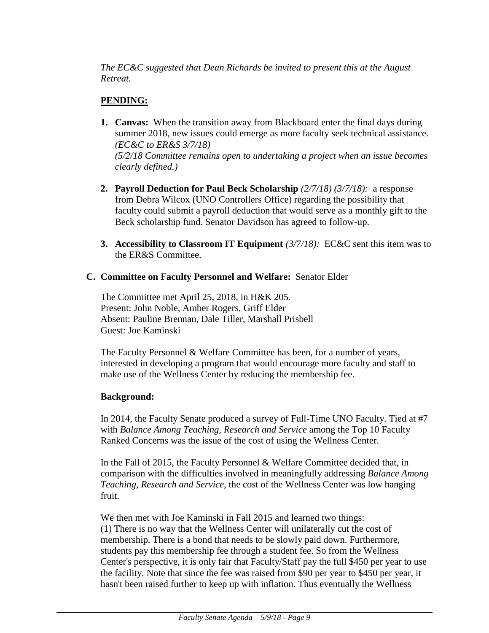*The EC&C suggested that Dean Richards be invited to present this at the August Retreat.*

# **PENDING:**

- **1. Canvas:** When the transition away from Blackboard enter the final days during summer 2018, new issues could emerge as more faculty seek technical assistance. *(EC&C to ER&S 3/7/18) (5/2/18 Committee remains open to undertaking a project when an issue becomes clearly defined.)*
- **2. Payroll Deduction for Paul Beck Scholarship** *(2/7/18) (3/7/18):* a response from Debra Wilcox (UNO Controllers Office) regarding the possibility that faculty could submit a payroll deduction that would serve as a monthly gift to the Beck scholarship fund. Senator Davidson has agreed to follow-up.
- **3. Accessibility to Classroom IT Equipment** *(3/7/18):* EC&C sent this item was to the ER&S Committee.

## **C. Committee on Faculty Personnel and Welfare:** Senator Elder

The Committee met April 25, 2018, in H&K 205. Present: John Noble, Amber Rogers, Griff Elder Absent: Pauline Brennan, Dale Tiller, Marshall Prisbell Guest: Joe Kaminski

The Faculty Personnel & Welfare Committee has been, for a number of years, interested in developing a program that would encourage more faculty and staff to make use of the Wellness Center by reducing the membership fee.

## **Background:**

In 2014, the Faculty Senate produced a survey of Full-Time UNO Faculty. Tied at #7 with *Balance Among Teaching, Research and Service* among the Top 10 Faculty Ranked Concerns was the issue of the cost of using the Wellness Center.

In the Fall of 2015, the Faculty Personnel & Welfare Committee decided that, in comparison with the difficulties involved in meaningfully addressing *Balance Among Teaching, Research and Service*, the cost of the Wellness Center was low hanging fruit.

We then met with Joe Kaminski in Fall 2015 and learned two things: (1) There is no way that the Wellness Center will unilaterally cut the cost of membership. There is a bond that needs to be slowly paid down. Furthermore, students pay this membership fee through a student fee. So from the Wellness Center's perspective, it is only fair that Faculty/Staff pay the full \$450 per year to use the facility. Note that since the fee was raised from \$90 per year to \$450 per year, it hasn't been raised further to keep up with inflation. Thus eventually the Wellness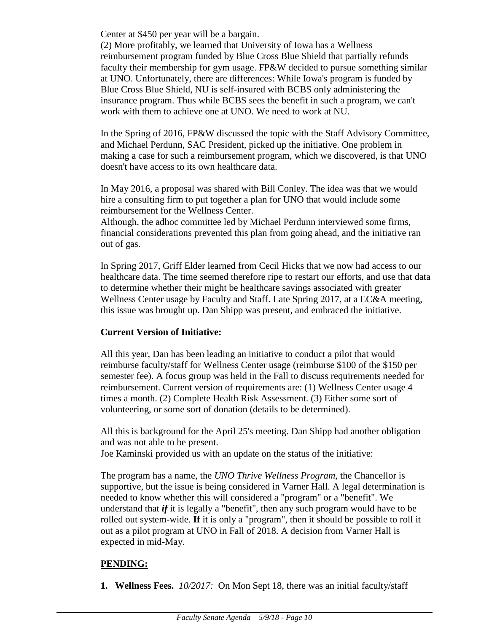Center at \$450 per year will be a bargain.

(2) More profitably, we learned that University of Iowa has a Wellness reimbursement program funded by Blue Cross Blue Shield that partially refunds faculty their membership for gym usage. FP&W decided to pursue something similar at UNO. Unfortunately, there are differences: While Iowa's program is funded by Blue Cross Blue Shield, NU is self-insured with BCBS only administering the insurance program. Thus while BCBS sees the benefit in such a program, we can't work with them to achieve one at UNO. We need to work at NU.

In the Spring of 2016, FP&W discussed the topic with the Staff Advisory Committee, and Michael Perdunn, SAC President, picked up the initiative. One problem in making a case for such a reimbursement program, which we discovered, is that UNO doesn't have access to its own healthcare data.

In May 2016, a proposal was shared with Bill Conley. The idea was that we would hire a consulting firm to put together a plan for UNO that would include some reimbursement for the Wellness Center.

Although, the adhoc committee led by Michael Perdunn interviewed some firms, financial considerations prevented this plan from going ahead, and the initiative ran out of gas.

In Spring 2017, Griff Elder learned from Cecil Hicks that we now had access to our healthcare data. The time seemed therefore ripe to restart our efforts, and use that data to determine whether their might be healthcare savings associated with greater Wellness Center usage by Faculty and Staff. Late Spring 2017, at a EC&A meeting, this issue was brought up. Dan Shipp was present, and embraced the initiative.

# **Current Version of Initiative:**

All this year, Dan has been leading an initiative to conduct a pilot that would reimburse faculty/staff for Wellness Center usage (reimburse \$100 of the \$150 per semester fee). A focus group was held in the Fall to discuss requirements needed for reimbursement. Current version of requirements are: (1) Wellness Center usage 4 times a month. (2) Complete Health Risk Assessment. (3) Either some sort of volunteering, or some sort of donation (details to be determined).

All this is background for the April 25's meeting. Dan Shipp had another obligation and was not able to be present.

Joe Kaminski provided us with an update on the status of the initiative:

The program has a name, the *UNO Thrive Wellness Program,* the Chancellor is supportive, but the issue is being considered in Varner Hall. A legal determination is needed to know whether this will considered a "program" or a "benefit". We understand that *if* it is legally a "benefit", then any such program would have to be rolled out system-wide. **If** it is only a "program", then it should be possible to roll it out as a pilot program at UNO in Fall of 2018. A decision from Varner Hall is expected in mid-May.

# **PENDING:**

**1. Wellness Fees.** *10/2017:*On Mon Sept 18, there was an initial faculty/staff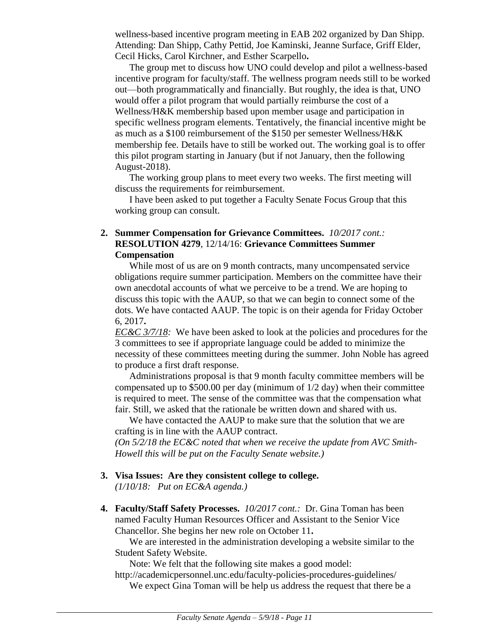wellness-based incentive program meeting in EAB 202 organized by Dan Shipp. Attending: Dan Shipp, Cathy Pettid, Joe Kaminski, Jeanne Surface, Griff Elder, Cecil Hicks, Carol Kirchner, and Esther Scarpello**.**

The group met to discuss how UNO could develop and pilot a wellness-based incentive program for faculty/staff. The wellness program needs still to be worked out—both programmatically and financially. But roughly, the idea is that, UNO would offer a pilot program that would partially reimburse the cost of a Wellness/H&K membership based upon member usage and participation in specific wellness program elements. Tentatively, the financial incentive might be as much as a \$100 reimbursement of the \$150 per semester Wellness/H&K membership fee. Details have to still be worked out. The working goal is to offer this pilot program starting in January (but if not January, then the following August-2018).

The working group plans to meet every two weeks. The first meeting will discuss the requirements for reimbursement.

I have been asked to put together a Faculty Senate Focus Group that this working group can consult.

## **2. Summer Compensation for Grievance Committees.** *10/2017 cont.:* **RESOLUTION 4279**, 12/14/16: **Grievance Committees Summer Compensation**

While most of us are on 9 month contracts, many uncompensated service obligations require summer participation. Members on the committee have their own anecdotal accounts of what we perceive to be a trend. We are hoping to discuss this topic with the AAUP, so that we can begin to connect some of the dots. We have contacted AAUP. The topic is on their agenda for Friday October 6, 2017**.**

*EC&C 3/7/18:* We have been asked to look at the policies and procedures for the 3 committees to see if appropriate language could be added to minimize the necessity of these committees meeting during the summer. John Noble has agreed to produce a first draft response.

Administrations proposal is that 9 month faculty committee members will be compensated up to \$500.00 per day (minimum of 1/2 day) when their committee is required to meet. The sense of the committee was that the compensation what fair. Still, we asked that the rationale be written down and shared with us.

We have contacted the AAUP to make sure that the solution that we are crafting is in line with the AAUP contract.

*(On 5/2/18 the EC&C noted that when we receive the update from AVC Smith-Howell this will be put on the Faculty Senate website.)*

**3. Visa Issues: Are they consistent college to college.**

*(1/10/18: Put on EC&A agenda.)*

**4. Faculty/Staff Safety Processes.** *10/2017 cont.:* Dr. Gina Toman has been named Faculty Human Resources Officer and Assistant to the Senior Vice Chancellor. She begins her new role on October 11**.**

We are interested in the administration developing a website similar to the Student Safety Website.

Note: We felt that the following site makes a good model:

http://academicpersonnel.unc.edu/faculty-policies-procedures-guidelines/

We expect Gina Toman will be help us address the request that there be a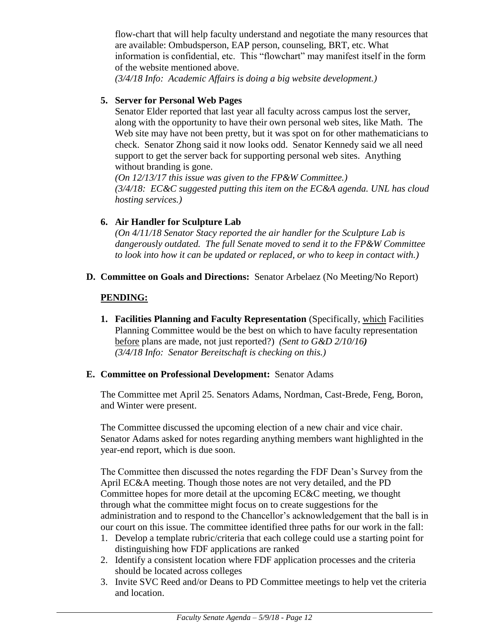flow-chart that will help faculty understand and negotiate the many resources that are available: Ombudsperson, EAP person, counseling, BRT, etc. What information is confidential, etc. This "flowchart" may manifest itself in the form of the website mentioned above.

*(3/4/18 Info: Academic Affairs is doing a big website development.)*

## **5. Server for Personal Web Pages**

Senator Elder reported that last year all faculty across campus lost the server, along with the opportunity to have their own personal web sites, like Math. The Web site may have not been pretty, but it was spot on for other mathematicians to check. Senator Zhong said it now looks odd. Senator Kennedy said we all need support to get the server back for supporting personal web sites. Anything without branding is gone.

*(On 12/13/17 this issue was given to the FP&W Committee.) (3/4/18: EC&C suggested putting this item on the EC&A agenda. UNL has cloud hosting services.)*

## **6. Air Handler for Sculpture Lab**

*(On 4/11/18 Senator Stacy reported the air handler for the Sculpture Lab is dangerously outdated. The full Senate moved to send it to the FP&W Committee to look into how it can be updated or replaced, or who to keep in contact with.)*

**D. Committee on Goals and Directions:** Senator Arbelaez (No Meeting/No Report)

## **PENDING:**

**1. Facilities Planning and Faculty Representation** (Specifically, which Facilities Planning Committee would be the best on which to have faculty representation before plans are made, not just reported?) *(Sent to G&D 2/10/16) (3/4/18 Info: Senator Bereitschaft is checking on this.)* 

## **E. Committee on Professional Development:** Senator Adams

The Committee met April 25. Senators Adams, Nordman, Cast-Brede, Feng, Boron, and Winter were present.

The Committee discussed the upcoming election of a new chair and vice chair. Senator Adams asked for notes regarding anything members want highlighted in the year-end report, which is due soon.

The Committee then discussed the notes regarding the FDF Dean's Survey from the April EC&A meeting. Though those notes are not very detailed, and the PD Committee hopes for more detail at the upcoming EC&C meeting, we thought through what the committee might focus on to create suggestions for the administration and to respond to the Chancellor's acknowledgement that the ball is in our court on this issue. The committee identified three paths for our work in the fall:

- 1. Develop a template rubric/criteria that each college could use a starting point for distinguishing how FDF applications are ranked
- 2. Identify a consistent location where FDF application processes and the criteria should be located across colleges
- 3. Invite SVC Reed and/or Deans to PD Committee meetings to help vet the criteria and location.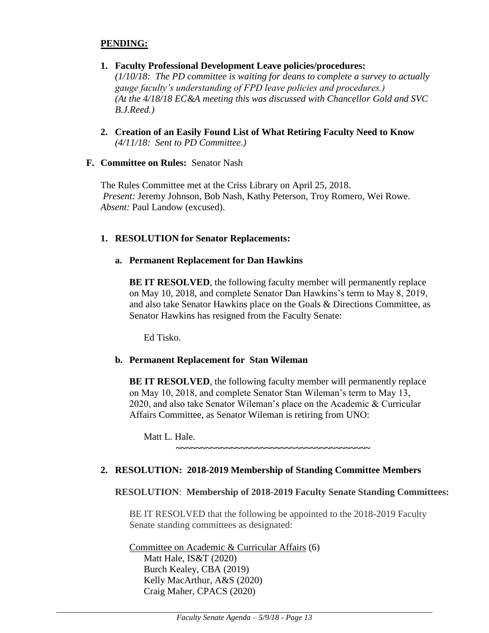## **PENDING:**

- **1. Faculty Professional Development Leave policies/procedures:**  *(1/10/18: The PD committee is waiting for deans to complete a survey to actually gauge faculty's understanding of FPD leave policies and procedures.) (At the 4/18/18 EC&A meeting this was discussed with Chancellor Gold and SVC B.J.Reed.)*
- **2. Creation of an Easily Found List of What Retiring Faculty Need to Know** *(4/11/18: Sent to PD Committee.)*
- **F. Committee on Rules:** Senator Nash

The Rules Committee met at the Criss Library on April 25, 2018. *Present:* Jeremy Johnson, Bob Nash, Kathy Peterson, Troy Romero, Wei Rowe. *Absent:* Paul Landow (excused).

# **1. RESOLUTION for Senator Replacements:**

# **a. Permanent Replacement for Dan Hawkins**

**BE IT RESOLVED**, the following faculty member will permanently replace on May 10, 2018, and complete Senator Dan Hawkins's term to May 8, 2019, and also take Senator Hawkins place on the Goals & Directions Committee, as Senator Hawkins has resigned from the Faculty Senate:

Ed Tisko.

# **b. Permanent Replacement for Stan Wileman**

**BE IT RESOLVED**, the following faculty member will permanently replace on May 10, 2018, and complete Senator Stan Wileman's term to May 13, 2020, and also take Senator Wileman's place on the Academic & Curricular Affairs Committee, as Senator Wileman is retiring from UNO:

Matt L. Hale.

**~~~~~~~~~~~~~~~~~~~~~~~~~~~~~~~~~~~~~~~**

# **2. RESOLUTION: 2018-2019 Membership of Standing Committee Members**

# **RESOLUTION**: **Membership of 2018-2019 Faculty Senate Standing Committees:**

BE IT RESOLVED that the following be appointed to the 2018-2019 Faculty Senate standing committees as designated:

Committee on Academic & Curricular Affairs (6) Matt Hale, IS&T (2020) Burch Kealey, CBA (2019) Kelly MacArthur, A&S (2020) Craig Maher, CPACS (2020)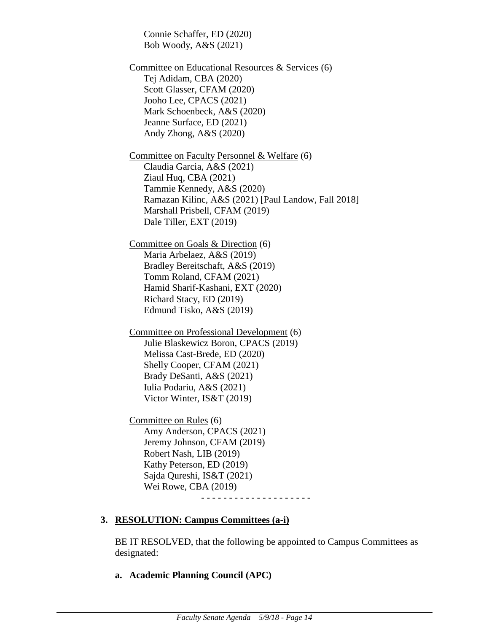Connie Schaffer, ED (2020) Bob Woody, A&S (2021)

Committee on Educational Resources & Services (6) Tej Adidam, CBA (2020) Scott Glasser, CFAM (2020) Jooho Lee, CPACS (2021) Mark Schoenbeck, A&S (2020) Jeanne Surface, ED (2021) Andy Zhong, A&S (2020)

Committee on Faculty Personnel & Welfare (6) Claudia Garcia, A&S (2021) Ziaul Huq, CBA (2021) Tammie Kennedy, A&S (2020) Ramazan Kilinc, A&S (2021) [Paul Landow, Fall 2018] Marshall Prisbell, CFAM (2019) Dale Tiller, EXT (2019)

Committee on Goals & Direction (6) Maria Arbelaez, A&S (2019) Bradley Bereitschaft, A&S (2019) Tomm Roland, CFAM (2021) Hamid Sharif-Kashani, EXT (2020) Richard Stacy, ED (2019) Edmund Tisko, A&S (2019)

Committee on Professional Development (6) Julie Blaskewicz Boron, CPACS (2019) Melissa Cast-Brede, ED (2020) Shelly Cooper, CFAM (2021) Brady DeSanti, A&S (2021) Iulia Podariu, A&S (2021) Victor Winter, IS&T (2019)

Committee on Rules (6) Amy Anderson, CPACS (2021) Jeremy Johnson, CFAM (2019) Robert Nash, LIB (2019) Kathy Peterson, ED (2019) Sajda Qureshi, IS&T (2021) Wei Rowe, CBA (2019) - - - - - - - - - - - - - - - - - - - -

#### **3. RESOLUTION: Campus Committees (a-i)**

BE IT RESOLVED, that the following be appointed to Campus Committees as designated:

**a. Academic Planning Council (APC)**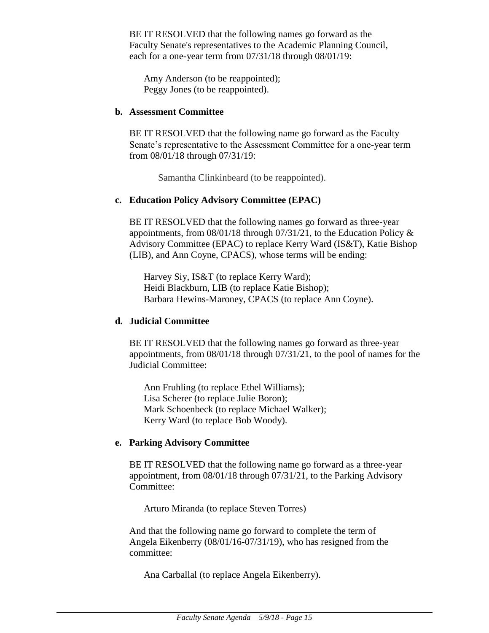BE IT RESOLVED that the following names go forward as the Faculty Senate's representatives to the Academic Planning Council, each for a one-year term from 07/31/18 through 08/01/19:

Amy Anderson (to be reappointed); Peggy Jones (to be reappointed).

#### **b. Assessment Committee**

BE IT RESOLVED that the following name go forward as the Faculty Senate's representative to the Assessment Committee for a one-year term from 08/01/18 through 07/31/19:

Samantha Clinkinbeard (to be reappointed).

#### **c. Education Policy Advisory Committee (EPAC)**

BE IT RESOLVED that the following names go forward as three-year appointments, from 08/01/18 through 07/31/21, to the Education Policy & Advisory Committee (EPAC) to replace Kerry Ward (IS&T), Katie Bishop (LIB), and Ann Coyne, CPACS), whose terms will be ending:

Harvey Siy, IS&T (to replace Kerry Ward); Heidi Blackburn, LIB (to replace Katie Bishop); Barbara Hewins-Maroney, CPACS (to replace Ann Coyne).

#### **d. Judicial Committee**

BE IT RESOLVED that the following names go forward as three-year appointments, from 08/01/18 through 07/31/21, to the pool of names for the Judicial Committee:

Ann Fruhling (to replace Ethel Williams); Lisa Scherer (to replace Julie Boron); Mark Schoenbeck (to replace Michael Walker); Kerry Ward (to replace Bob Woody).

#### **e. Parking Advisory Committee**

BE IT RESOLVED that the following name go forward as a three-year appointment, from 08/01/18 through 07/31/21, to the Parking Advisory Committee:

Arturo Miranda (to replace Steven Torres)

And that the following name go forward to complete the term of Angela Eikenberry (08/01/16-07/31/19), who has resigned from the committee:

Ana Carballal (to replace Angela Eikenberry).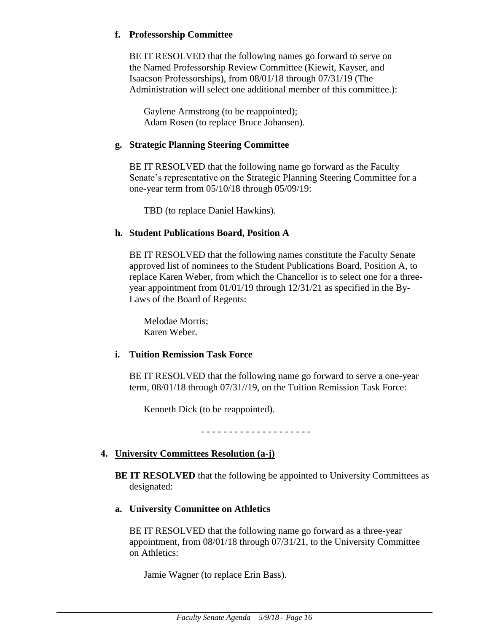## **f. Professorship Committee**

BE IT RESOLVED that the following names go forward to serve on the Named Professorship Review Committee (Kiewit, Kayser, and Isaacson Professorships), from 08/01/18 through 07/31/19 (The Administration will select one additional member of this committee.):

Gaylene Armstrong (to be reappointed); Adam Rosen (to replace Bruce Johansen).

## **g. Strategic Planning Steering Committee**

BE IT RESOLVED that the following name go forward as the Faculty Senate's representative on the Strategic Planning Steering Committee for a one-year term from 05/10/18 through 05/09/19:

TBD (to replace Daniel Hawkins).

## **h. Student Publications Board, Position A**

BE IT RESOLVED that the following names constitute the Faculty Senate approved list of nominees to the Student Publications Board, Position A, to replace Karen Weber, from which the Chancellor is to select one for a threeyear appointment from 01/01/19 through 12/31/21 as specified in the By-Laws of the Board of Regents:

Melodae Morris; Karen Weber.

## **i. Tuition Remission Task Force**

BE IT RESOLVED that the following name go forward to serve a one-year term, 08/01/18 through 07/31//19, on the Tuition Remission Task Force:

Kenneth Dick (to be reappointed).

- - - - - - - - - - - - - - - - - - - -

# **4. University Committees Resolution (a-j)**

- **BE IT RESOLVED** that the following be appointed to University Committees as designated:
- **a. University Committee on Athletics**

BE IT RESOLVED that the following name go forward as a three-year appointment, from 08/01/18 through 07/31/21, to the University Committee on Athletics:

Jamie Wagner (to replace Erin Bass).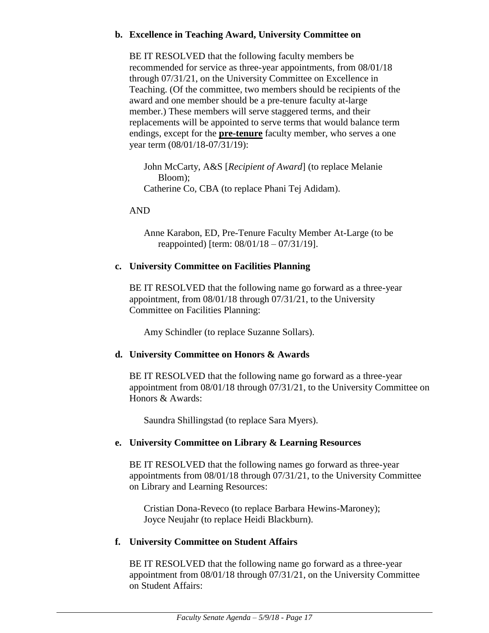## **b. Excellence in Teaching Award, University Committee on**

BE IT RESOLVED that the following faculty members be recommended for service as three-year appointments, from 08/01/18 through 07/31/21, on the University Committee on Excellence in Teaching. (Of the committee, two members should be recipients of the award and one member should be a pre-tenure faculty at-large member.) These members will serve staggered terms, and their replacements will be appointed to serve terms that would balance term endings, except for the **pre-tenure** faculty member, who serves a one year term (08/01/18-07/31/19):

John McCarty, A&S [*Recipient of Award*] (to replace Melanie Bloom); Catherine Co, CBA (to replace Phani Tej Adidam).

## AND

Anne Karabon, ED, Pre-Tenure Faculty Member At-Large (to be reappointed) [term: 08/01/18 – 07/31/19].

# **c. University Committee on Facilities Planning**

BE IT RESOLVED that the following name go forward as a three-year appointment, from 08/01/18 through 07/31/21, to the University Committee on Facilities Planning:

Amy Schindler (to replace Suzanne Sollars).

# **d. University Committee on Honors & Awards**

BE IT RESOLVED that the following name go forward as a three-year appointment from 08/01/18 through 07/31/21, to the University Committee on Honors & Awards:

Saundra Shillingstad (to replace Sara Myers).

# **e. University Committee on Library & Learning Resources**

BE IT RESOLVED that the following names go forward as three-year appointments from 08/01/18 through 07/31/21, to the University Committee on Library and Learning Resources:

Cristian Dona-Reveco (to replace Barbara Hewins-Maroney); Joyce Neujahr (to replace Heidi Blackburn).

# **f. University Committee on Student Affairs**

BE IT RESOLVED that the following name go forward as a three-year appointment from 08/01/18 through 07/31/21, on the University Committee on Student Affairs: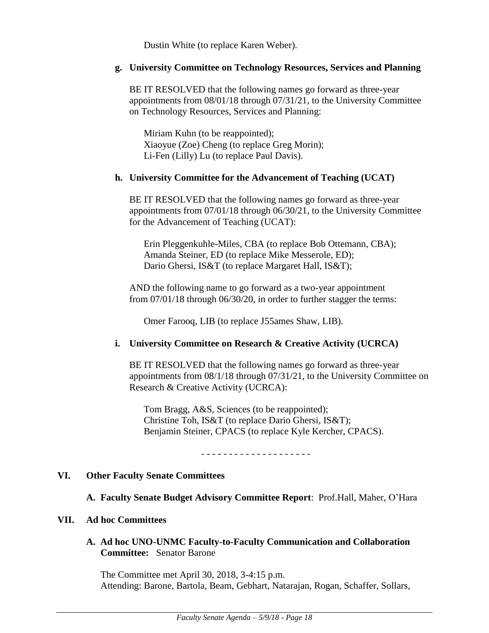Dustin White (to replace Karen Weber).

#### **g. University Committee on Technology Resources, Services and Planning**

BE IT RESOLVED that the following names go forward as three-year appointments from 08/01/18 through 07/31/21, to the University Committee on Technology Resources, Services and Planning:

Miriam Kuhn (to be reappointed); Xiaoyue (Zoe) Cheng (to replace Greg Morin); Li-Fen (Lilly) Lu (to replace Paul Davis).

#### **h. University Committee for the Advancement of Teaching (UCAT)**

BE IT RESOLVED that the following names go forward as three-year appointments from 07/01/18 through 06/30/21, to the University Committee for the Advancement of Teaching (UCAT):

Erin Pleggenkuhle-Miles, CBA (to replace Bob Ottemann, CBA); Amanda Steiner, ED (to replace Mike Messerole, ED); Dario Ghersi, IS&T (to replace Margaret Hall, IS&T);

AND the following name to go forward as a two-year appointment from 07/01/18 through 06/30/20, in order to further stagger the terms:

Omer Farooq, LIB (to replace J55ames Shaw, LIB).

## **i. University Committee on Research & Creative Activity (UCRCA)**

BE IT RESOLVED that the following names go forward as three-year appointments from 08/1/18 through 07/31/21, to the University Committee on Research & Creative Activity (UCRCA):

Tom Bragg, A&S, Sciences (to be reappointed); Christine Toh, IS&T (to replace Dario Ghersi, IS&T); Benjamin Steiner, CPACS (to replace Kyle Kercher, CPACS).

- - - - - - - - - - - - - - - - - - - -

## **VI. Other Faculty Senate Committees**

## **A. Faculty Senate Budget Advisory Committee Report**: Prof.Hall, Maher, O'Hara

#### **VII. Ad hoc Committees**

## **A. Ad hoc UNO-UNMC Faculty-to-Faculty Communication and Collaboration Committee:** Senator Barone

The Committee met April 30, 2018, 3-4:15 p.m. Attending: Barone, Bartola, Beam, Gebhart, Natarajan, Rogan, Schaffer, Sollars,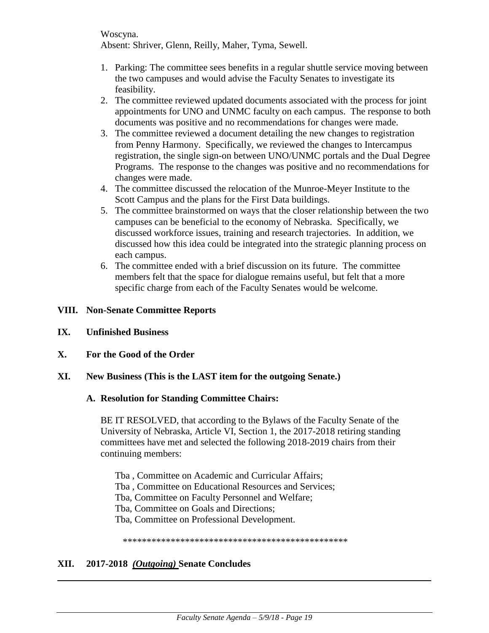Woscyna. Absent: Shriver, Glenn, Reilly, Maher, Tyma, Sewell.

- 1. Parking: The committee sees benefits in a regular shuttle service moving between the two campuses and would advise the Faculty Senates to investigate its feasibility.
- 2. The committee reviewed updated documents associated with the process for joint appointments for UNO and UNMC faculty on each campus. The response to both documents was positive and no recommendations for changes were made.
- 3. The committee reviewed a document detailing the new changes to registration from Penny Harmony. Specifically, we reviewed the changes to Intercampus registration, the single sign-on between UNO/UNMC portals and the Dual Degree Programs. The response to the changes was positive and no recommendations for changes were made.
- 4. The committee discussed the relocation of the Munroe-Meyer Institute to the Scott Campus and the plans for the First Data buildings.
- 5. The committee brainstormed on ways that the closer relationship between the two campuses can be beneficial to the economy of Nebraska. Specifically, we discussed workforce issues, training and research trajectories. In addition, we discussed how this idea could be integrated into the strategic planning process on each campus.
- 6. The committee ended with a brief discussion on its future. The committee members felt that the space for dialogue remains useful, but felt that a more specific charge from each of the Faculty Senates would be welcome.

## **VIII. Non-Senate Committee Reports**

- **IX. Unfinished Business**
- **X. For the Good of the Order**
- **XI. New Business (This is the LAST item for the outgoing Senate.)**

## **A. Resolution for Standing Committee Chairs:**

BE IT RESOLVED, that according to the Bylaws of the Faculty Senate of the University of Nebraska, Article VI, Section 1, the 2017-2018 retiring standing committees have met and selected the following 2018-2019 chairs from their continuing members:

Tba , Committee on Academic and Curricular Affairs; Tba , Committee on Educational Resources and Services; Tba, Committee on Faculty Personnel and Welfare; Tba, Committee on Goals and Directions; Tba, Committee on Professional Development.

\*\*\*\*\*\*\*\*\*\*\*\*\*\*\*\*\*\*\*\*\*\*\*\*\*\*\*\*\*\*\*\*\*\*\*\*\*\*\*\*\*\*\*\*\*\*\*

## **XII. 2017-2018** *(Outgoing)* **Senate Concludes**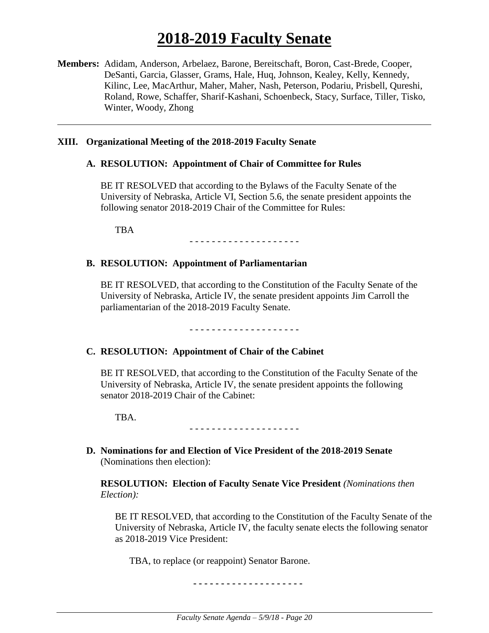# **2018-2019 Faculty Senate**

**Members:** Adidam, Anderson, Arbelaez, Barone, Bereitschaft, Boron, Cast-Brede, Cooper, DeSanti, Garcia, Glasser, Grams, Hale, Huq, Johnson, Kealey, Kelly, Kennedy, Kilinc, Lee, MacArthur, Maher, Maher, Nash, Peterson, Podariu, Prisbell, Qureshi, Roland, Rowe, Schaffer, Sharif-Kashani, Schoenbeck, Stacy, Surface, Tiller, Tisko, Winter, Woody, Zhong

#### **XIII. Organizational Meeting of the 2018-2019 Faculty Senate**

#### **A. RESOLUTION: Appointment of Chair of Committee for Rules**

BE IT RESOLVED that according to the Bylaws of the Faculty Senate of the University of Nebraska, Article VI, Section 5.6, the senate president appoints the following senator 2018-2019 Chair of the Committee for Rules:

TBA

- - - - - - - - - - - - - - - - - - - -

#### **B. RESOLUTION: Appointment of Parliamentarian**

BE IT RESOLVED, that according to the Constitution of the Faculty Senate of the University of Nebraska, Article IV, the senate president appoints Jim Carroll the parliamentarian of the 2018-2019 Faculty Senate.

#### - - - - - - - - - - - - - - - - - - - -

#### **C. RESOLUTION: Appointment of Chair of the Cabinet**

BE IT RESOLVED, that according to the Constitution of the Faculty Senate of the University of Nebraska, Article IV, the senate president appoints the following senator 2018-2019 Chair of the Cabinet:

TBA.

- - - - - - - - - - - - - - - - - - - -

**D. Nominations for and Election of Vice President of the 2018-2019 Senate**  (Nominations then election):

**RESOLUTION: Election of Faculty Senate Vice President** *(Nominations then Election):*

BE IT RESOLVED, that according to the Constitution of the Faculty Senate of the University of Nebraska, Article IV, the faculty senate elects the following senator as 2018-2019 Vice President:

TBA, to replace (or reappoint) Senator Barone.

**- - - - - - - - - - - - - - - - - - - -**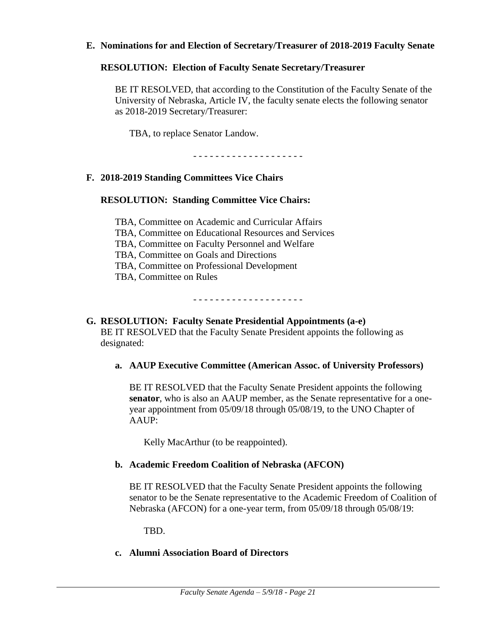#### **E. Nominations for and Election of Secretary/Treasurer of 2018-2019 Faculty Senate**

#### **RESOLUTION: Election of Faculty Senate Secretary/Treasurer**

BE IT RESOLVED, that according to the Constitution of the Faculty Senate of the University of Nebraska, Article IV, the faculty senate elects the following senator as 2018-2019 Secretary/Treasurer:

TBA, to replace Senator Landow.

- - - - - - - - - - - - - - - - - - - -

## **F. 2018-2019 Standing Committees Vice Chairs**

## **RESOLUTION: Standing Committee Vice Chairs:**

TBA, Committee on Academic and Curricular Affairs TBA, Committee on Educational Resources and Services TBA, Committee on Faculty Personnel and Welfare TBA, Committee on Goals and Directions TBA, Committee on Professional Development TBA, Committee on Rules

- - - - - - - - - - - - - - - - - - - -

## **G. RESOLUTION: Faculty Senate Presidential Appointments (a-e)** BE IT RESOLVED that the Faculty Senate President appoints the following as designated:

## **a. AAUP Executive Committee (American Assoc. of University Professors)**

BE IT RESOLVED that the Faculty Senate President appoints the following **senator**, who is also an AAUP member, as the Senate representative for a oneyear appointment from 05/09/18 through 05/08/19, to the UNO Chapter of AAUP:

Kelly MacArthur (to be reappointed).

## **b. Academic Freedom Coalition of Nebraska (AFCON)**

BE IT RESOLVED that the Faculty Senate President appoints the following senator to be the Senate representative to the Academic Freedom of Coalition of Nebraska (AFCON) for a one-year term, from 05/09/18 through 05/08/19:

TBD.

#### **c. Alumni Association Board of Directors**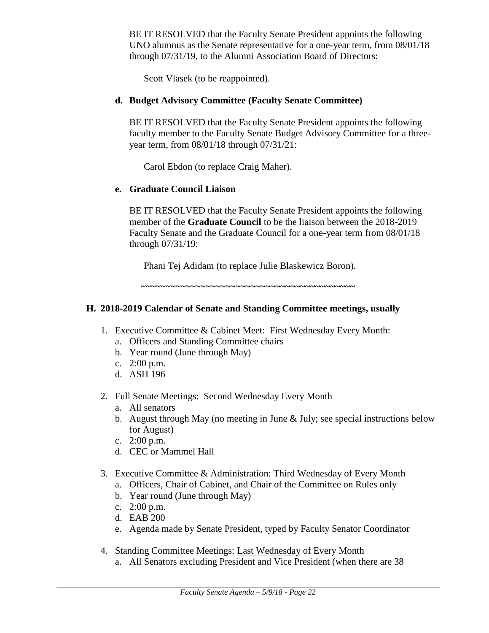BE IT RESOLVED that the Faculty Senate President appoints the following UNO alumnus as the Senate representative for a one-year term, from 08/01/18 through 07/31/19, to the Alumni Association Board of Directors:

Scott Vlasek (to be reappointed).

## **d. Budget Advisory Committee (Faculty Senate Committee)**

BE IT RESOLVED that the Faculty Senate President appoints the following faculty member to the Faculty Senate Budget Advisory Committee for a threeyear term, from 08/01/18 through 07/31/21:

Carol Ebdon (to replace Craig Maher).

#### **e. Graduate Council Liaison**

BE IT RESOLVED that the Faculty Senate President appoints the following member of the **Graduate Council** to be the liaison between the 2018-2019 Faculty Senate and the Graduate Council for a one-year term from 08/01/18 through 07/31/19:

Phani Tej Adidam (to replace Julie Blaskewicz Boron)*.* 

**~~~~~~~~~~~~~~~~~~~~~~~~~~~~~~~~~~~~~~~~~~~**

## **H. 2018-2019 Calendar of Senate and Standing Committee meetings, usually**

- 1. Executive Committee & Cabinet Meet: First Wednesday Every Month:
	- a. Officers and Standing Committee chairs
	- b. Year round (June through May)
	- c. 2:00 p.m.
	- d. ASH 196
- 2. Full Senate Meetings: Second Wednesday Every Month
	- a. All senators
	- b. August through May (no meeting in June & July; see special instructions below for August)
	- c. 2:00 p.m.
	- d. CEC or Mammel Hall
- 3. Executive Committee & Administration: Third Wednesday of Every Month
	- a. Officers, Chair of Cabinet, and Chair of the Committee on Rules only
	- b. Year round (June through May)
	- c. 2:00 p.m.
	- d. EAB 200
	- e. Agenda made by Senate President, typed by Faculty Senator Coordinator
- 4. Standing Committee Meetings: Last Wednesday of Every Month
	- a. All Senators excluding President and Vice President (when there are 38